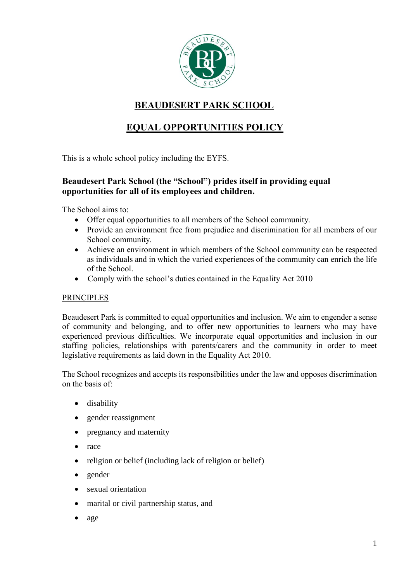

# **BEAUDESERT PARK SCHOOL**

# **EQUAL OPPORTUNITIES POLICY**

This is a whole school policy including the EYFS.

# **Beaudesert Park School (the "School") prides itself in providing equal opportunities for all of its employees and children.**

The School aims to:

- Offer equal opportunities to all members of the School community.
- Provide an environment free from prejudice and discrimination for all members of our School community.
- Achieve an environment in which members of the School community can be respected as individuals and in which the varied experiences of the community can enrich the life of the School.
- Comply with the school's duties contained in the Equality Act 2010

# PRINCIPLES

Beaudesert Park is committed to equal opportunities and inclusion. We aim to engender a sense of community and belonging, and to offer new opportunities to learners who may have experienced previous difficulties. We incorporate equal opportunities and inclusion in our staffing policies, relationships with parents/carers and the community in order to meet legislative requirements as laid down in the Equality Act 2010.

The School recognizes and accepts its responsibilities under the law and opposes discrimination on the basis of:

- disability
- gender reassignment
- pregnancy and maternity
- race
- religion or belief (including lack of religion or belief)
- gender
- sexual orientation
- marital or civil partnership status, and
- age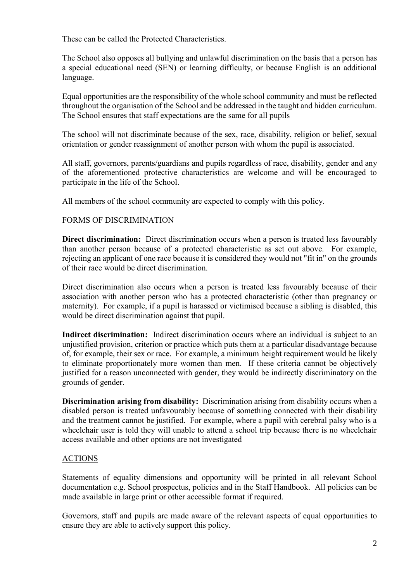These can be called the Protected Characteristics.

The School also opposes all bullying and unlawful discrimination on the basis that a person has a special educational need (SEN) or learning difficulty, or because English is an additional language.

Equal opportunities are the responsibility of the whole school community and must be reflected throughout the organisation of the School and be addressed in the taught and hidden curriculum. The School ensures that staff expectations are the same for all pupils

The school will not discriminate because of the sex, race, disability, religion or belief, sexual orientation or gender reassignment of another person with whom the pupil is associated.

All staff, governors, parents/guardians and pupils regardless of race, disability, gender and any of the aforementioned protective characteristics are welcome and will be encouraged to participate in the life of the School.

All members of the school community are expected to comply with this policy.

# FORMS OF DISCRIMINATION

**Direct discrimination:** Direct discrimination occurs when a person is treated less favourably than another person because of a protected characteristic as set out above. For example, rejecting an applicant of one race because it is considered they would not "fit in" on the grounds of their race would be direct discrimination.

Direct discrimination also occurs when a person is treated less favourably because of their association with another person who has a protected characteristic (other than pregnancy or maternity). For example, if a pupil is harassed or victimised because a sibling is disabled, this would be direct discrimination against that pupil.

**Indirect discrimination:** Indirect discrimination occurs where an individual is subject to an unjustified provision, criterion or practice which puts them at a particular disadvantage because of, for example, their sex or race. For example, a minimum height requirement would be likely to eliminate proportionately more women than men. If these criteria cannot be objectively justified for a reason unconnected with gender, they would be indirectly discriminatory on the grounds of gender.

**Discrimination arising from disability:** Discrimination arising from disability occurs when a disabled person is treated unfavourably because of something connected with their disability and the treatment cannot be justified. For example, where a pupil with cerebral palsy who is a wheelchair user is told they will unable to attend a school trip because there is no wheelchair access available and other options are not investigated

# ACTIONS

Statements of equality dimensions and opportunity will be printed in all relevant School documentation e.g. School prospectus, policies and in the Staff Handbook. All policies can be made available in large print or other accessible format if required.

Governors, staff and pupils are made aware of the relevant aspects of equal opportunities to ensure they are able to actively support this policy.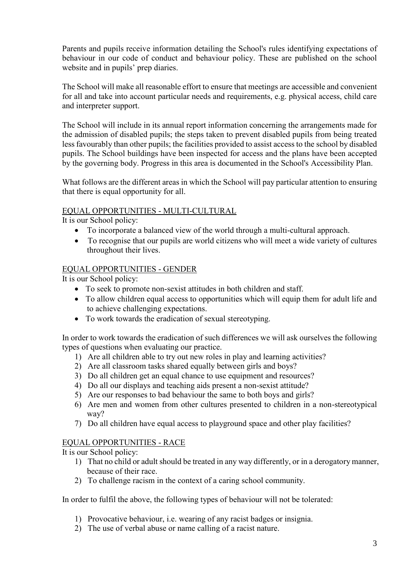Parents and pupils receive information detailing the School's rules identifying expectations of behaviour in our code of conduct and behaviour policy. These are published on the school website and in pupils' prep diaries.

The School will make all reasonable effort to ensure that meetings are accessible and convenient for all and take into account particular needs and requirements, e.g. physical access, child care and interpreter support.

The School will include in its annual report information concerning the arrangements made for the admission of disabled pupils; the steps taken to prevent disabled pupils from being treated less favourably than other pupils; the facilities provided to assist access to the school by disabled pupils. The School buildings have been inspected for access and the plans have been accepted by the governing body. Progress in this area is documented in the School's Accessibility Plan.

What follows are the different areas in which the School will pay particular attention to ensuring that there is equal opportunity for all.

## EQUAL OPPORTUNITIES - MULTI-CULTURAL

It is our School policy:

- To incorporate a balanced view of the world through a multi-cultural approach.
- To recognise that our pupils are world citizens who will meet a wide variety of cultures throughout their lives.

## EQUAL OPPORTUNITIES - GENDER

It is our School policy:

- To seek to promote non-sexist attitudes in both children and staff.
- To allow children equal access to opportunities which will equip them for adult life and to achieve challenging expectations.
- To work towards the eradication of sexual stereotyping.

In order to work towards the eradication of such differences we will ask ourselves the following types of questions when evaluating our practice.

- 1) Are all children able to try out new roles in play and learning activities?
- 2) Are all classroom tasks shared equally between girls and boys?
- 3) Do all children get an equal chance to use equipment and resources?
- 4) Do all our displays and teaching aids present a non-sexist attitude?
- 5) Are our responses to bad behaviour the same to both boys and girls?
- 6) Are men and women from other cultures presented to children in a non-stereotypical way?
- 7) Do all children have equal access to playground space and other play facilities?

# EQUAL OPPORTUNITIES - RACE

It is our School policy:

- 1) That no child or adult should be treated in any way differently, or in a derogatory manner, because of their race.
- 2) To challenge racism in the context of a caring school community.

In order to fulfil the above, the following types of behaviour will not be tolerated:

- 1) Provocative behaviour, i.e. wearing of any racist badges or insignia.
- 2) The use of verbal abuse or name calling of a racist nature.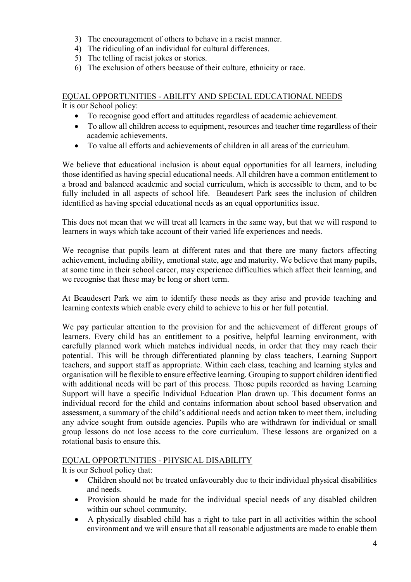- 3) The encouragement of others to behave in a racist manner.
- 4) The ridiculing of an individual for cultural differences.
- 5) The telling of racist jokes or stories.
- 6) The exclusion of others because of their culture, ethnicity or race.

#### EQUAL OPPORTUNITIES - ABILITY AND SPECIAL EDUCATIONAL NEEDS It is our School policy:

- To recognise good effort and attitudes regardless of academic achievement.
- To allow all children access to equipment, resources and teacher time regardless of their academic achievements.
- To value all efforts and achievements of children in all areas of the curriculum.

We believe that educational inclusion is about equal opportunities for all learners, including those identified as having special educational needs. All children have a common entitlement to a broad and balanced academic and social curriculum, which is accessible to them, and to be fully included in all aspects of school life. Beaudesert Park sees the inclusion of children identified as having special educational needs as an equal opportunities issue.

This does not mean that we will treat all learners in the same way, but that we will respond to learners in ways which take account of their varied life experiences and needs.

We recognise that pupils learn at different rates and that there are many factors affecting achievement, including ability, emotional state, age and maturity. We believe that many pupils, at some time in their school career, may experience difficulties which affect their learning, and we recognise that these may be long or short term.

At Beaudesert Park we aim to identify these needs as they arise and provide teaching and learning contexts which enable every child to achieve to his or her full potential.

We pay particular attention to the provision for and the achievement of different groups of learners. Every child has an entitlement to a positive, helpful learning environment, with carefully planned work which matches individual needs, in order that they may reach their potential. This will be through differentiated planning by class teachers, Learning Support teachers, and support staff as appropriate. Within each class, teaching and learning styles and organisation will be flexible to ensure effective learning. Grouping to support children identified with additional needs will be part of this process. Those pupils recorded as having Learning Support will have a specific Individual Education Plan drawn up. This document forms an individual record for the child and contains information about school based observation and assessment, a summary of the child's additional needs and action taken to meet them, including any advice sought from outside agencies. Pupils who are withdrawn for individual or small group lessons do not lose access to the core curriculum. These lessons are organized on a rotational basis to ensure this.

# EQUAL OPPORTUNITIES - PHYSICAL DISABILITY

It is our School policy that:

- Children should not be treated unfavourably due to their individual physical disabilities and needs.
- Provision should be made for the individual special needs of any disabled children within our school community.
- A physically disabled child has a right to take part in all activities within the school environment and we will ensure that all reasonable adjustments are made to enable them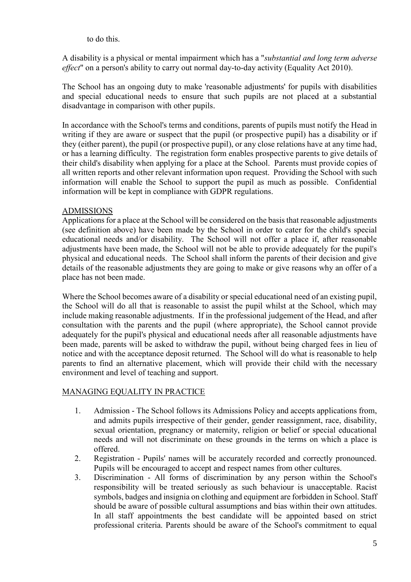to do this.

A disability is a physical or mental impairment which has a "*substantial and long term adverse effect*" on a person's ability to carry out normal day-to-day activity (Equality Act 2010).

The School has an ongoing duty to make 'reasonable adjustments' for pupils with disabilities and special educational needs to ensure that such pupils are not placed at a substantial disadvantage in comparison with other pupils.

In accordance with the School's terms and conditions, parents of pupils must notify the Head in writing if they are aware or suspect that the pupil (or prospective pupil) has a disability or if they (either parent), the pupil (or prospective pupil), or any close relations have at any time had, or has a learning difficulty. The registration form enables prospective parents to give details of their child's disability when applying for a place at the School. Parents must provide copies of all written reports and other relevant information upon request. Providing the School with such information will enable the School to support the pupil as much as possible. Confidential information will be kept in compliance with GDPR regulations.

# ADMISSIONS

Applications for a place at the School will be considered on the basis that reasonable adjustments (see definition above) have been made by the School in order to cater for the child's special educational needs and/or disability. The School will not offer a place if, after reasonable adjustments have been made, the School will not be able to provide adequately for the pupil's physical and educational needs. The School shall inform the parents of their decision and give details of the reasonable adjustments they are going to make or give reasons why an offer of a place has not been made.

Where the School becomes aware of a disability or special educational need of an existing pupil, the School will do all that is reasonable to assist the pupil whilst at the School, which may include making reasonable adjustments. If in the professional judgement of the Head, and after consultation with the parents and the pupil (where appropriate), the School cannot provide adequately for the pupil's physical and educational needs after all reasonable adjustments have been made, parents will be asked to withdraw the pupil, without being charged fees in lieu of notice and with the acceptance deposit returned. The School will do what is reasonable to help parents to find an alternative placement, which will provide their child with the necessary environment and level of teaching and support.

#### MANAGING EQUALITY IN PRACTICE

- 1. Admission The School follows its Admissions Policy and accepts applications from, and admits pupils irrespective of their gender, gender reassignment, race, disability, sexual orientation, pregnancy or maternity, religion or belief or special educational needs and will not discriminate on these grounds in the terms on which a place is offered.
- 2. Registration Pupils' names will be accurately recorded and correctly pronounced. Pupils will be encouraged to accept and respect names from other cultures.
- 3. Discrimination All forms of discrimination by any person within the School's responsibility will be treated seriously as such behaviour is unacceptable. Racist symbols, badges and insignia on clothing and equipment are forbidden in School. Staff should be aware of possible cultural assumptions and bias within their own attitudes. In all staff appointments the best candidate will be appointed based on strict professional criteria. Parents should be aware of the School's commitment to equal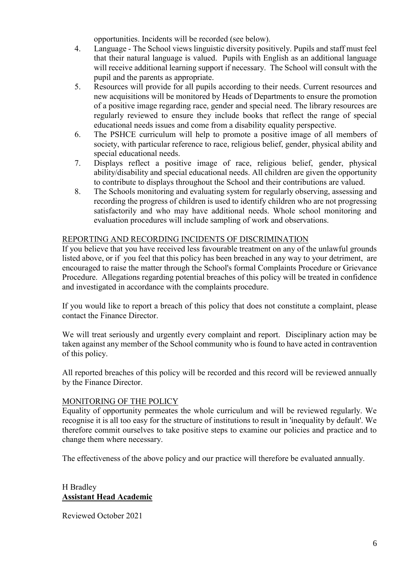opportunities. Incidents will be recorded (see below).

- 4. Language The School views linguistic diversity positively. Pupils and staff must feel that their natural language is valued. Pupils with English as an additional language will receive additional learning support if necessary. The School will consult with the pupil and the parents as appropriate.
- 5. Resources will provide for all pupils according to their needs. Current resources and new acquisitions will be monitored by Heads of Departments to ensure the promotion of a positive image regarding race, gender and special need. The library resources are regularly reviewed to ensure they include books that reflect the range of special educational needs issues and come from a disability equality perspective.
- 6. The PSHCE curriculum will help to promote a positive image of all members of society, with particular reference to race, religious belief, gender, physical ability and special educational needs.
- 7. Displays reflect a positive image of race, religious belief, gender, physical ability/disability and special educational needs. All children are given the opportunity to contribute to displays throughout the School and their contributions are valued.
- 8. The Schools monitoring and evaluating system for regularly observing, assessing and recording the progress of children is used to identify children who are not progressing satisfactorily and who may have additional needs. Whole school monitoring and evaluation procedures will include sampling of work and observations.

## REPORTING AND RECORDING INCIDENTS OF DISCRIMINATION

If you believe that you have received less favourable treatment on any of the unlawful grounds listed above, or if you feel that this policy has been breached in any way to your detriment, are encouraged to raise the matter through the School's formal Complaints Procedure or Grievance Procedure. Allegations regarding potential breaches of this policy will be treated in confidence and investigated in accordance with the complaints procedure.

If you would like to report a breach of this policy that does not constitute a complaint, please contact the Finance Director.

We will treat seriously and urgently every complaint and report. Disciplinary action may be taken against any member of the School community who is found to have acted in contravention of this policy.

All reported breaches of this policy will be recorded and this record will be reviewed annually by the Finance Director.

#### MONITORING OF THE POLICY

Equality of opportunity permeates the whole curriculum and will be reviewed regularly. We recognise it is all too easy for the structure of institutions to result in 'inequality by default'. We therefore commit ourselves to take positive steps to examine our policies and practice and to change them where necessary.

The effectiveness of the above policy and our practice will therefore be evaluated annually.

## H Bradley **Assistant Head Academic**

Reviewed October 2021